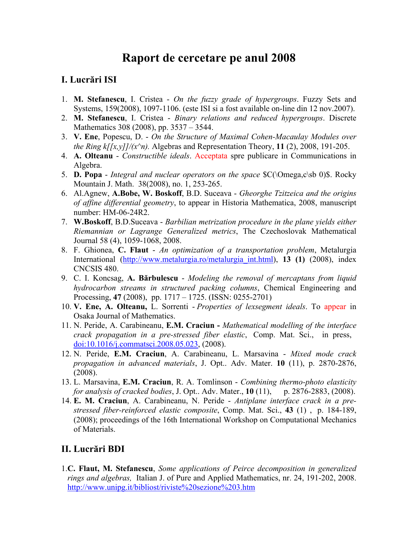# **Raport de cercetare pe anul 2008**

# **I. Lucrări ISI**

- 1. **M. Stefanescu**, I. Cristea *On the fuzzy grade of hypergroups*. Fuzzy Sets and Systems, 159(2008), 1097-1106. (este ISI si a fost available on-line din 12 nov.2007).
- 2. **M. Stefanescu**, I. Cristea *Binary relations and reduced hypergroups*. Discrete Mathematics 308 (2008), pp. 3537 – 3544.
- 3. **V. Ene**, Popescu, D. *On the Structure of Maximal Cohen-Macaulay Modules over the Ring k[[x,y]]/(x^n).* Algebras and Representation Theory, 11 (2), 2008, 191-205.
- 4. **A. Olteanu** *Constructible ideals*. Acceptata spre publicare in Communications in Algebra.
- 5. **D. Popa** *Integral and nuclear operators on the space* \$C(\Omega,c\sb 0)\$. Rocky Mountain J. Math. 38(2008), no. 1, 253-265.
- 6. Al.Agnew, **A.Bobe, W. Boskoff**, B.D. Suceava *Gheorghe Tzitzeica and the origins of affine differential geometry*, to appear in Historia Mathematica, 2008, manuscript number: HM-06-24R2.
- 7. **W.Boskoff**, B.D.Suceava *Barbilian metrization procedure in the plane yields either Riemannian or Lagrange Generalized metrics*, The Czechoslovak Mathematical Journal 58 (4), 1059-1068, 2008.
- 8. F. Ghionea, **C. Flaut** *An optimization of a transportation problem*, Metalurgia International [\(http://www.metalurgia.ro/metalurgia\\_int.html](http://mail.univ-ovidius.ro/exchweb/bin/redir.asp?URL=http://www.metalurgia.ro/metalurgia_int.html)), **13 (1)** (2008), index CNCSIS 480.
- 9. C. I. Koncsag, **A. Bărbulescu** *Modeling the removal of mercaptans from liquid hydrocarbon streams in structured packing columns*, Chemical Engineering and Processing, **47** (2008), pp. 1717 – 1725. (ISSN: 0255-2701)
- 10. **V. Ene, A. Olteanu,** L. Sorrenti *Properties of lexsegment ideals*. To appear in Osaka Journal of Mathematics.
- 11. N. Peride, A. Carabineanu, **E.M. Craciun -** *Mathematical modelling of the interface crack propagation in a pre-stressed fiber elastic*, Comp. Mat. Sci., in press, [doi:10.1016/j.commatsci.2008.05.023](http://dx.doi.org/10.1016/j.commatsci.2008.05.023), (2008).
- 12. N. Peride, **E.M. Craciun**, A. Carabineanu, L. Marsavina *Mixed mode crack propagation in advanced materials*, J. Opt.. Adv. Mater. **10** (11), p. 2870-2876, (2008).
- 13. L. Marsavina, **E.M. Craciun**, R. A. Tomlinson *Combining thermo-photo elasticity for analysis of cracked bodies*, J. Opt.. Adv. Mater., **10** (11),p. 2876-2883, (2008).
- 14. **E. M. Craciun**, A. Carabineanu, N. Peride *Antiplane interface crack in a prestressed fiber-reinforced elastic composite*, Comp. Mat. Sci., **43** (1) , p. 184-189, (2008); proceedings of the 16th International Workshop on Computational Mechanics of Materials.

### **II. Lucrări BDI**

1.**C. Flaut, M. Stefanescu**, *Some applications of Peirce decomposition in generalized rings and algebras,* Italian J. of Pure and Applied Mathematics, nr. 24, 191-202, 2008. <http://www.unipg.it/bibliost/riviste%20sezione%203.htm>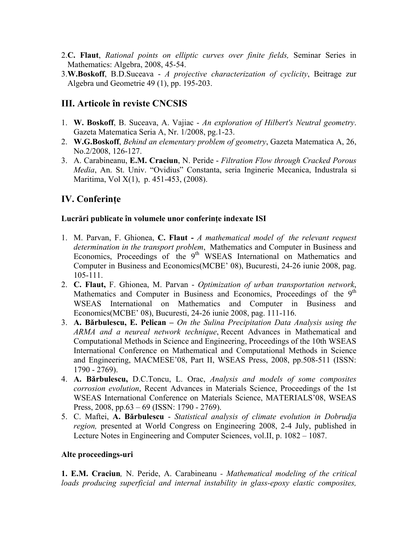- 2.**C. Flaut**, *Rational points on elliptic curves over finite fields,* Seminar Series in Mathematics: Algebra, 2008, 45-54.
- 3.**W.Boskoff**, B.D.Suceava *A projective characterization of cyclicity*, Beitrage zur Algebra und Geometrie 49 (1), pp. 195-203.

### **III. Articole în reviste CNCSIS**

- 1. **W. Boskoff**, B. Suceava, A. Vajiac *An exploration of Hilbert's Neutral geometry*. Gazeta Matematica Seria A, Nr. 1/2008, pg.1-23.
- 2. **W.G.Boskoff**, *Behind an elementary problem of geometry*, Gazeta Matematica A, 26, No.2/2008, 126-127.
- 3. A. Carabineanu, **E.M. Craciun**, N. Peride *Filtration Flow through Cracked Porous Media*, An. St. Univ. "Ovidius" Constanta, seria Inginerie Mecanica, Industrala si Maritima, Vol X(1), p. 451-453, (2008).

# **IV. Conferinţe**

#### **Lucrări publicate în volumele unor conferinţe indexate ISI**

- 1. M. Parvan, F. Ghionea, **C. Flaut** *A mathematical model of the relevant request determination in the transport problem*, Mathematics and Computer in Business and Economics, Proceedings of the  $9<sup>th</sup>$  WSEAS International on Mathematics and Computer in Business and Economics(MCBE' 08), Bucuresti, 24-26 iunie 2008, pag. 105-111.
- 2. **C. Flaut,** F. Ghionea, M. Parvan *Optimization of urban transportation network*, Mathematics and Computer in Business and Economics, Proceedings of the  $9<sup>th</sup>$ WSEAS International on Mathematics and Computer in Business and Economics(MCBE' 08), Bucuresti, 24-26 iunie 2008, pag. 111-116.
- 3. **A. Bărbulescu, E. Pelican** *On the Sulina Precipitation Data Analysis using the ARMA and a neureal network technique*, Recent Advances in Mathematical and Computational Methods in Science and Engineering, Proceedings of the 10th WSEAS International Conference on Mathematical and Computational Methods in Science and Engineering, MACMESE'08, Part II, WSEAS Press, 2008, pp.508-511 (ISSN: 1790 - 2769).
- 4. **A. Bărbulescu,** D.C.Toncu, L. Orac, *Analysis and models of some composites corrosion evolution*, Recent Advances in Materials Science, Proceedings of the 1st WSEAS International Conference on Materials Science, MATERIALS'08, WSEAS Press, 2008, pp.63 – 69 (ISSN: 1790 - 2769).
- 5. C. Maftei, **A. Bărbulescu** *Statistical analysis of climate evolution in Dobrudja region,* presented at World Congress on Engineering 2008, 2-4 July, published in Lecture Notes in Engineering and Computer Sciences, vol.II, p. 1082 – 1087.

#### **Alte proceedings-uri**

**1. E.M. Craciun***,* N. Peride, A. Carabineanu *- Mathematical modeling of the critical loads producing superficial and internal instability in glass-epoxy elastic composites,*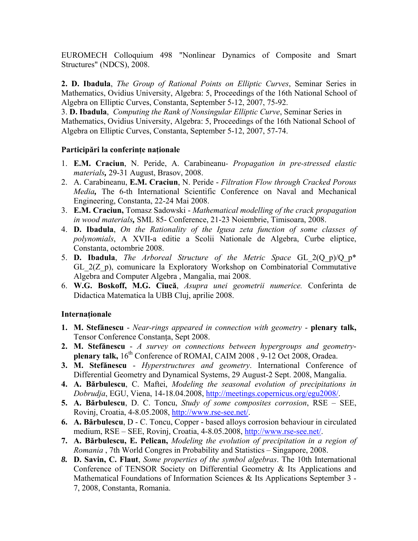EUROMECH Colloquium 498 "Nonlinear Dynamics of Composite and Smart Structures" (NDCS), 2008.

**2. D. Ibadula**, *The Group of Rational Points on Elliptic Curves*, Seminar Series in Mathematics, Ovidius University, Algebra: 5, Proceedings of the 16th National School of Algebra on Elliptic Curves, Constanta, September 5-12, 2007, 75-92.

3. **D. Ibadula**, *Computing the Rank of Nonsingular Elliptic Curve*, Seminar Series in Mathematics, Ovidius University, Algebra: 5, Proceedings of the 16th National School of Algebra on Elliptic Curves, Constanta, September 5-12, 2007, 57-74.

#### **Participări la conferinţe naţionale**

- 1. **E.M. Craciun**, N. Peride, A. Carabineanu *Propagation in pre-stressed elastic materials,* 29-31 August, Brasov, 2008.
- 2. A. Carabineanu, **E.M. Craciun**, N. Peride *Filtration Flow through Cracked Porous Media,* The 6-th International Scientific Conference on Naval and Mechanical Engineering, Constanta, 22-24 Mai 2008.
- 3. **E.M. Craciun,** Tomasz Sadowski *Mathematical modelling of the crack propagation in wood materials,* SML 85- Conference, 21-23 Noiembrie, Timisoara, 2008.
- 4. **D. Ibadula**, *On the Rationality of the Igusa zeta function of some classes of polynomials*, A XVII-a editie a Scolii Nationale de Algebra, Curbe eliptice, Constanta, octombrie 2008.
- 5. **D. Ibadula**, *The Arboreal Structure of the Metric Space* GL\_2(Q\_p)/Q\_p\* GL 2(Z p), comunicare la Exploratory Workshop on Combinatorial Commutative Algebra and Computer Algebra , Mangalia, mai 2008.
- 6. **W.G. Boskoff, M.G. Ciucă**, *Asupra unei geometrii numerice.* Conferinta de Didactica Matematica la UBB Cluj, aprilie 2008.

#### **Internaţionale**

- **1. M. Stefănescu** *Near-rings appeared in connection with geometry* - **plenary talk,** Tensor Conference Constanta, Sept 2008.
- **2. M. Stefănescu** *A survey on connections between hypergroups and geometry***plenary talk,** 16<sup>th</sup> Conference of ROMAI, CAIM 2008, 9-12 Oct 2008, Oradea.
- **3. M. Stefănescu** *Hyperstructures and geometry*. International Conference of Differential Geometry and Dynamical Systems, 29 August-2 Sept. 2008, Mangalia.
- **4. A. Bărbulescu**, C. Maftei, *Modeling the seasonal evolution of precipitations in Dobrudja*, EGU, Viena, 14-18.04.2008, [http://meetings.copernicus.org/egu2008/.](http://meetings.copernicus.org/egu2008/)
- **5. A. Bărbulescu**, D. C. Toncu, *Study of some composites corrosion*, RSE SEE, Rovinj, Croatia, 4-8.05.2008, [http://www.rse-see.net/.](http://www.rse-see.net/)
- **6. A. Bărbulescu**, D C. Toncu, Copper based alloys corrosion behaviour in circulated medium, RSE – SEE, Rovinj, Croatia, 4-8.05.2008, [http://www.rse-see.net/.](http://www.rse-see.net/)
- **7. A. Bărbulescu, E. Pelican,** *Modeling the evolution of precipitation in a region of Romania* , 7th World Congres in Probability and Statistics – Singapore, 2008.
- *8.* **D. Savin, C. Flaut**, *Some properties of the symbol algebras*. The 10th International Conference of TENSOR Society on Differential Geometry & Its Applications and Mathematical Foundations of Information Sciences & Its Applications September 3 - 7, 2008, Constanta, Romania.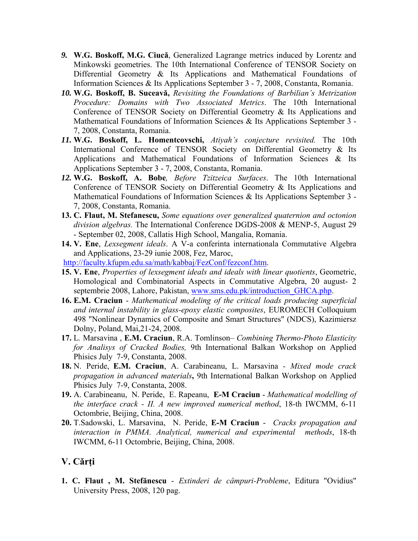- *9.* **W.G. Boskoff, M.G. Ciucă**, Generalized Lagrange metrics induced by Lorentz and Minkowski geometries. The 10th International Conference of TENSOR Society on Differential Geometry & Its Applications and Mathematical Foundations of Information Sciences & Its Applications September 3 - 7, 2008, Constanta, Romania.
- *10.* **W.G. Boskoff, B. Suceavă,** *Revisiting the Foundations of Barbilian's Metrization Procedure: Domains with Two Associated Metrics*. The 10th International Conference of TENSOR Society on Differential Geometry & Its Applications and Mathematical Foundations of Information Sciences & Its Applications September 3 - 7, 2008, Constanta, Romania.
- *11.* **W.G. Boskoff, L. Homentcovschi,** *Atiyah's conjecture revisited.* The 10th International Conference of TENSOR Society on Differential Geometry & Its Applications and Mathematical Foundations of Information Sciences & Its Applications September 3 - 7, 2008, Constanta, Romania.
- *12.* **W.G. Boskoff, A. Bobe***, Before Tzitzeica Surfaces*. The 10th International Conference of TENSOR Society on Differential Geometry & Its Applications and Mathematical Foundations of Information Sciences & Its Applications September 3 - 7, 2008, Constanta, Romania.
- **13. C. Flaut, M. Stefanescu,** *Some equations over generalized quaternion and octonion division algebras.* The International Conference DGDS-2008 & MENP-5, August 29 - September 02, 2008, Callatis High School, Mangalia, Romania.
- **14. V. Ene**, *Lexsegment ideals*. A V-a conferinta internationala Commutative Algebra and Applications, 23-29 iunie 2008, Fez, Maroc,

[http://faculty.kfupm.edu.sa/math/kabbaj/FezConf/fezconf.htm.](http://faculty.kfupm.edu.sa/math/kabbaj/FezConf/fezconf.htm)

- **15. V. Ene**, *Properties of lexsegment ideals and ideals with linear quotients*, Geometric, Homological and Combinatorial Aspects in Commutative Algebra, 20 august- 2 septembrie 2008, Lahore, Pakistan, www.sms.edu.pk/introduction GHCA.php.
- **16. E.M. Craciun** *Mathematical modeling of the critical loads producing superficial and internal instability in glass-epoxy elastic composites*, EUROMECH Colloquium 498 "Nonlinear Dynamics of Composite and Smart Structures" (NDCS), Kazimiersz Dolny, Poland, Mai,21-24, 2008.
- **17.** L*.* Marsavina , **E.M. Craciun**, R.A. Tomlinson *Combining Thermo-Photo Elasticity for Analisys of Cracked Bodies,* 9th International Balkan Workshop on Applied Phisics July 7-9, Constanta, 2008.
- **18.** N. Peride, **E.M. Craciun**, A. Carabineanu, L. Marsavina *Mixed mode crack propagation in advanced materials***,** 9th International Balkan Workshop on Applied Phisics July 7-9, Constanta, 2008.
- **19.** A. Carabineanu, N. Peride, E. Rapeanu, **E-M Craciun** *Mathematical modelling of the interface crack - II. A new improved numerical method*, 18-th IWCMM, 6-11 Octombrie, Beijing, China, 2008.
- **20.** T.Sadowski, L. Marsavina, N. Peride, **E-M Craciun** - *Cracks propagation and interaction in PMMA. Analytical, numerical and experimental methods*, 18-th IWCMM, 6-11 Octombrie, Beijing, China, 2008.

# **V. Cărţi**

**1. C. Flaut , M. Stefănescu** - *Extinderi de câmpuri-Probleme*, Editura "Ovidius" University Press, 2008, 120 pag.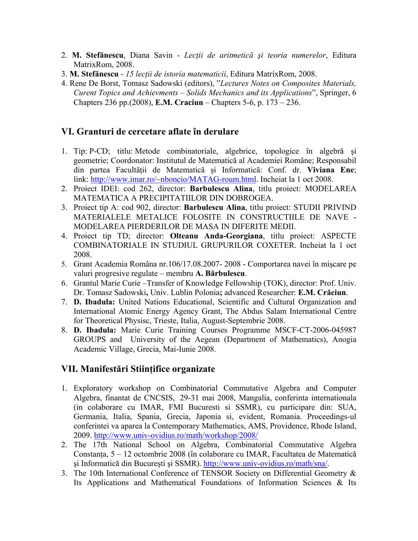- 2. **M. Stefănescu**, Diana Savin *Lecţii de aritmetică şi teoria numerelor*, Editura MatrixRom, 2008.
- 3. **M. Stefănescu** *15 lecţii de istoria matematicii*, Editura MatrixRom, 2008.
- 4. Rene De Borst, Tomasz Sadowski (editors), "*Lectures Notes on Composites Materials, Curent Topics and Achievments – Solids Mechanics and its Applications*", Springer, 6 Chapters 236 pp.(2008), **E.M. Craciun** – Chapters 5-6, p. 173 – 236.

### **VI. Granturi de cercetare aflate în derulare**

- 1. Tip: P-CD; titlu: Metode combinatoriale, algebrice, topologice în algebră şi geometrie; Coordonator: Institutul de Matematică al Academiei Române; Responsabil din partea Facultăţii de Matematică şi Informatică: Conf. dr. **Viviana Ene**; link: [http://www.imar.ro/~nboncio/MATAG-roum.html.](http://www.imar.ro/%7Enboncio/MATAG-roum.html) Incheiat la 1 oct 2008.
- 2. Proiect IDEI: cod 262, director: **Barbulescu Alina**, titlu proiect: MODELAREA MATEMATICA A PRECIPITATIILOR DIN DOBROGEA.
- 3. Proiect tip A: cod 902, director: **Barbulescu Alina**, titlu proiect: STUDII PRIVIND MATERIALELE METALICE FOLOSITE IN CONSTRUCTIILE DE NAVE - MODELAREA PIERDERILOR DE MASA IN DIFERITE MEDII.
- 4. Proiect tip TD; director: **Olteanu Anda-Georgiana**, titlu proiect: ASPECTE COMBINATORIALE IN STUDIUL GRUPURILOR COXETER. Incheiat la 1 oct 2008.
- 5. Grant Academia Româna nr.106/17.08.2007- 2008 Comportarea navei în mişcare pe valuri progresive regulate – membru **A. Bărbulescu**.
- 6. Grantul Marie Curie –Transfer of Knowledge Fellowship (TOK), director: Prof. Univ. Dr. Tomasz Sadowski**,** Univ. Lublin Polonia**;** advanced Researcher: **E.M. Crăciun**.
- 7. **D. Ibadula:** United Nations Educational, Scientific and Cultural Organization and International Atomic Energy Agency Grant, The Abdus Salam International Centre for Theoretical Physisc, Trieste, Italia, August-Septembrie 2008.
- 8. **D. Ibadula:** Marie Curie Training Courses Programme MSCF-CT-2006-045987 GROUPS and University of the Aegean (Department of Mathematics), Anogia Academic Village, Grecia, Mai-Iunie 2008.

# **VII. Manifestări Stiinţifice organizate**

- 1. Exploratory workshop on Combinatorial Commutative Algebra and Computer Algebra, finantat de CNCSIS, 29-31 mai 2008, Mangalia, conferinta internationala (in colaborare cu IMAR, FMI Bucuresti si SSMR), cu participare din: SUA, Germania, Italia, Spania, Grecia, Japonia si, evident, Romania. Proceedings-ul conferintei va aparea la Contemporary Mathematics, AMS, Providence, Rhode Island, 2009. http://www.univ-ovidius.ro/math/workshop/2008/
- 2. The 17th National School on Algebra, Combinatorial Commutative Algebra Constanța, 5 – 12 octombrie 2008 (în colaborare cu IMAR, Facultatea de Matematică şi Informatică din Bucureşti şi SSMR). [http://www.univ-ovidius.ro/math/sna/.](http://www.univ-ovidius.ro/math/sna/)
- 3. The 10th International Conference of TENSOR Society on Differential Geometry & Its Applications and Mathematical Foundations of Information Sciences & Its